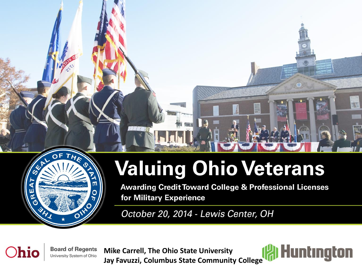

### **Valuing Ohio Veterans**

**Awarding Credit Toward College & Professional Licenses** for Military Experience

October 20, 2014 - Lewis Center, OH

hio

**Board of Regents** University System of Ohio

**Mike Carrell, The Ohio State University Jay Favuzzi, Columbus State Community College**

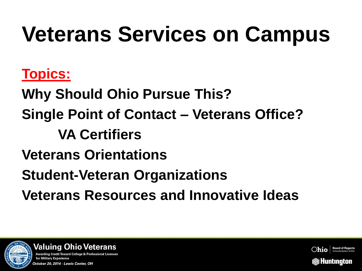# **Veterans Services on Campus**

### **Topics:**

**Why Should Ohio Pursue This? Single Point of Contact – Veterans Office? VA Certifiers Veterans Orientations Student-Veteran Organizations Veterans Resources and Innovative Ideas**





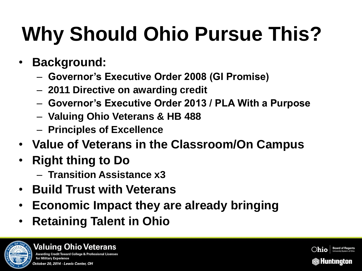## **Why Should Ohio Pursue This?**

- **Background:**
	- **Governor's Executive Order 2008 (GI Promise)**
	- **2011 Directive on awarding credit**
	- **Governor's Executive Order 2013 / PLA With a Purpose**
	- **Valuing Ohio Veterans & HB 488**
	- **Principles of Excellence**
- **Value of Veterans in the Classroom/On Campus**
- **Right thing to Do**
	- **Transition Assistance x3**
- **Build Trust with Veterans**
- **Economic Impact they are already bringing**
- **Retaining Talent in Ohio**



#### **Valuing Ohio Veterans** Awarding Credit Toward College & Professional License: for Military Experience October 20, 2014 - Lewis Center, OH

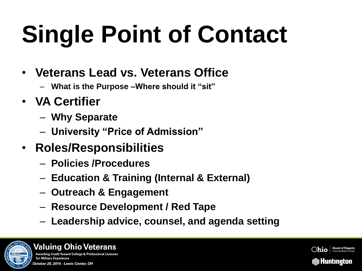# **Single Point of Contact**

- **Veterans Lead vs. Veterans Office**
	- **What is the Purpose –Where should it "sit"**
- **VA Certifier**
	- **Why Separate**
	- **University "Price of Admission"**
- **Roles/Responsibilities**
	- **Policies /Procedures**
	- **Education & Training (Internal & External)**
	- **Outreach & Engagement**
	- **Resource Development / Red Tape**
	- **Leadership advice, counsel, and agenda setting**



**Valuing Ohio Veterans** Awarding Credit Toward College & Professional License: for Military Experience October 20, 2014 - Lewis Center, OH

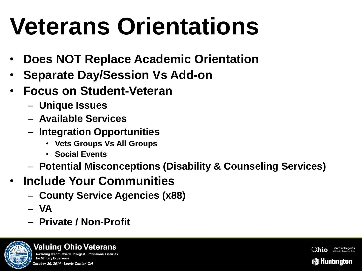# **Veterans Orientations**

- **Does NOT Replace Academic Orientation**
- **Separate Day/Session Vs Add-on**
- **Focus on Student-Veteran**
	- **Unique Issues**
	- **Available Services**
	- **Integration Opportunities**
		- **Vets Groups Vs All Groups**
		- **Social Events**
	- **Potential Misconceptions (Disability & Counseling Services)**
- **Include Your Communities**
	- **County Service Agencies (x88)**
	- **VA**
	- **Private / Non-Profit**



#### **Valuing Ohio Veterans** Awarding Credit Toward College & Professional Licenses for Military Experience October 20, 2014 - Lewis Center, OH

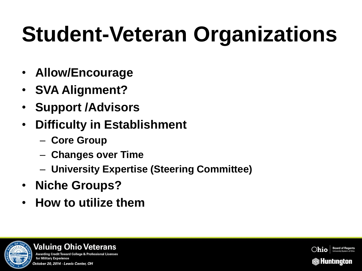# **Student-Veteran Organizations**

- **Allow/Encourage**
- **SVA Alignment?**
- **Support /Advisors**
- **Difficulty in Establishment**
	- **Core Group**
	- **Changes over Time**
	- **University Expertise (Steering Committee)**
- **Niche Groups?**
- **How to utilize them**